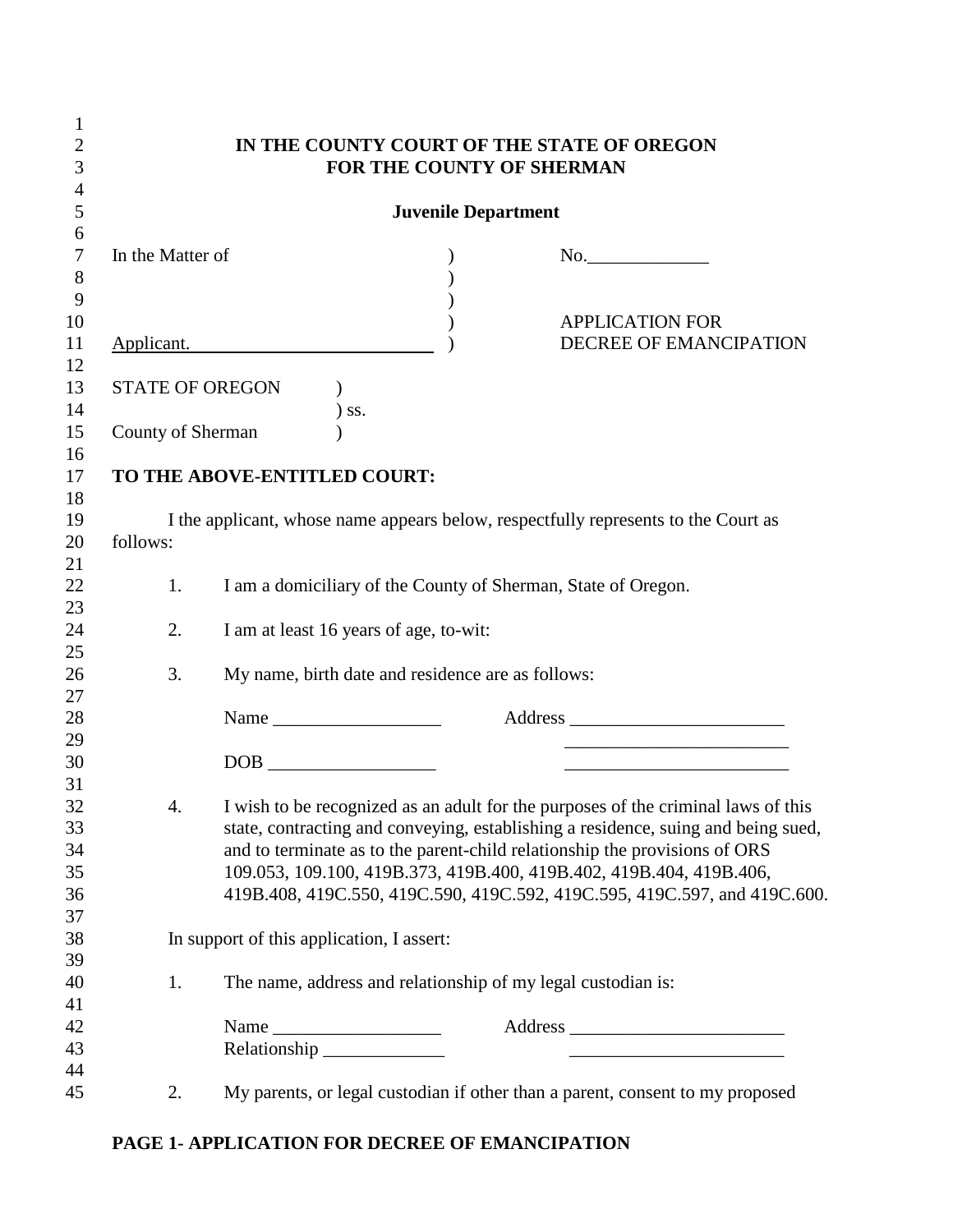| $\mathbf{1}$   |                                                                                                |                                                               |         |  |                                                                                                                       |  |  |
|----------------|------------------------------------------------------------------------------------------------|---------------------------------------------------------------|---------|--|-----------------------------------------------------------------------------------------------------------------------|--|--|
| $\overline{2}$ | IN THE COUNTY COURT OF THE STATE OF OREGON                                                     |                                                               |         |  |                                                                                                                       |  |  |
| 3              | FOR THE COUNTY OF SHERMAN                                                                      |                                                               |         |  |                                                                                                                       |  |  |
| $\overline{4}$ |                                                                                                |                                                               |         |  |                                                                                                                       |  |  |
| 5              | <b>Juvenile Department</b>                                                                     |                                                               |         |  |                                                                                                                       |  |  |
| 6              |                                                                                                |                                                               |         |  |                                                                                                                       |  |  |
| $\overline{7}$ | In the Matter of                                                                               |                                                               |         |  | No.                                                                                                                   |  |  |
| 8              |                                                                                                |                                                               |         |  |                                                                                                                       |  |  |
| 9              |                                                                                                |                                                               |         |  |                                                                                                                       |  |  |
| 10             |                                                                                                |                                                               |         |  | <b>APPLICATION FOR</b>                                                                                                |  |  |
| 11             |                                                                                                | Applicant.                                                    |         |  | DECREE OF EMANCIPATION                                                                                                |  |  |
| 12             |                                                                                                |                                                               |         |  |                                                                                                                       |  |  |
| 13             | <b>STATE OF OREGON</b>                                                                         |                                                               |         |  |                                                                                                                       |  |  |
| 14             |                                                                                                |                                                               | $)$ ss. |  |                                                                                                                       |  |  |
| 15             | County of Sherman                                                                              |                                                               |         |  |                                                                                                                       |  |  |
| 16             |                                                                                                |                                                               |         |  |                                                                                                                       |  |  |
| 17             |                                                                                                | TO THE ABOVE-ENTITLED COURT:                                  |         |  |                                                                                                                       |  |  |
| 18<br>19       |                                                                                                |                                                               |         |  |                                                                                                                       |  |  |
| 20             | I the applicant, whose name appears below, respectfully represents to the Court as<br>follows: |                                                               |         |  |                                                                                                                       |  |  |
| 21             |                                                                                                |                                                               |         |  |                                                                                                                       |  |  |
| 22             | 1.                                                                                             |                                                               |         |  |                                                                                                                       |  |  |
| 23             |                                                                                                | I am a domiciliary of the County of Sherman, State of Oregon. |         |  |                                                                                                                       |  |  |
| 24             | 2.                                                                                             | I am at least 16 years of age, to-wit:                        |         |  |                                                                                                                       |  |  |
| 25             |                                                                                                |                                                               |         |  |                                                                                                                       |  |  |
| 26             | 3.                                                                                             | My name, birth date and residence are as follows:             |         |  |                                                                                                                       |  |  |
| 27             |                                                                                                |                                                               |         |  |                                                                                                                       |  |  |
| 28             |                                                                                                |                                                               |         |  |                                                                                                                       |  |  |
| 29             |                                                                                                |                                                               |         |  | <u> 1989 - Johann John Stein, meil in der Stein und der Stein und der Stein und der Stein und der Stein und der S</u> |  |  |
| 30             |                                                                                                |                                                               |         |  | <u> 1989 - Johann Barbara, martxa alemaniar arg</u>                                                                   |  |  |
| 31             |                                                                                                |                                                               |         |  |                                                                                                                       |  |  |
| 32             | 4.                                                                                             |                                                               |         |  | I wish to be recognized as an adult for the purposes of the criminal laws of this                                     |  |  |
| 33             |                                                                                                |                                                               |         |  | state, contracting and conveying, establishing a residence, suing and being sued,                                     |  |  |
| 34             |                                                                                                |                                                               |         |  | and to terminate as to the parent-child relationship the provisions of ORS                                            |  |  |
| 35             |                                                                                                |                                                               |         |  | 109.053, 109.100, 419B.373, 419B.400, 419B.402, 419B.404, 419B.406,                                                   |  |  |
| 36             |                                                                                                |                                                               |         |  | 419B.408, 419C.550, 419C.590, 419C.592, 419C.595, 419C.597, and 419C.600.                                             |  |  |
| 37             |                                                                                                |                                                               |         |  |                                                                                                                       |  |  |
| 38             | In support of this application, I assert:                                                      |                                                               |         |  |                                                                                                                       |  |  |
| 39             |                                                                                                |                                                               |         |  |                                                                                                                       |  |  |
| 40             | 1.                                                                                             | The name, address and relationship of my legal custodian is:  |         |  |                                                                                                                       |  |  |
| 41             |                                                                                                |                                                               |         |  |                                                                                                                       |  |  |
| 42             |                                                                                                |                                                               |         |  |                                                                                                                       |  |  |
| 43             |                                                                                                | Relationship _______________                                  |         |  | <u> Listen de la contrada de la contrada de la contrada de la contrada de la contrada de la contrada de la contra</u> |  |  |
| 44             |                                                                                                |                                                               |         |  |                                                                                                                       |  |  |
| 45             | 2.                                                                                             |                                                               |         |  | My parents, or legal custodian if other than a parent, consent to my proposed                                         |  |  |

## **PAGE 1- APPLICATION FOR DECREE OF EMANCIPATION**